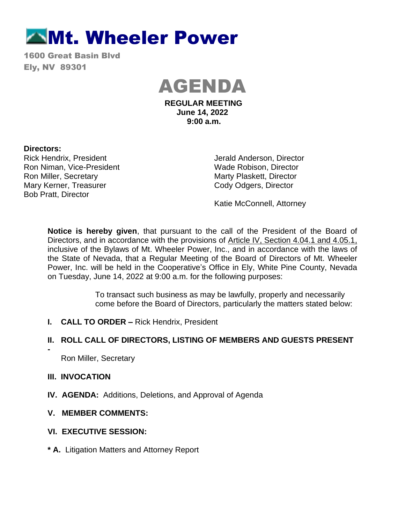# **Mt. Wheeler Power**

1600 Great Basin Blvd Ely, NV 89301



**REGULAR MEETING June 14, 2022 9:00 a.m.**

#### **Directors:**

Rick Hendrix, President Ron Niman, Vice-President Ron Miller, Secretary Mary Kerner, Treasurer Bob Pratt, Director

Jerald Anderson, Director Wade Robison, Director Marty Plaskett, Director Cody Odgers, Director

Katie McConnell, Attorney

**Notice is hereby given**, that pursuant to the call of the President of the Board of Directors, and in accordance with the provisions of Article IV, Section 4.04.1 and 4.05.1, inclusive of the Bylaws of Mt. Wheeler Power, Inc., and in accordance with the laws of the State of Nevada, that a Regular Meeting of the Board of Directors of Mt. Wheeler Power, Inc. will be held in the Cooperative's Office in Ely, White Pine County, Nevada on Tuesday, June 14, 2022 at 9:00 a.m. for the following purposes:

> To transact such business as may be lawfully, properly and necessarily come before the Board of Directors, particularly the matters stated below:

**I. CALL TO ORDER –** Rick Hendrix, President

# **II. ROLL CALL OF DIRECTORS, LISTING OF MEMBERS AND GUESTS PRESENT**

Ron Miller, Secretary

#### **III. INVOCATION**

**-** 

- **IV. AGENDA:** Additions, Deletions, and Approval of Agenda
- **V. MEMBER COMMENTS:**

# **VI. EXECUTIVE SESSION:**

**\* A.** Litigation Matters and Attorney Report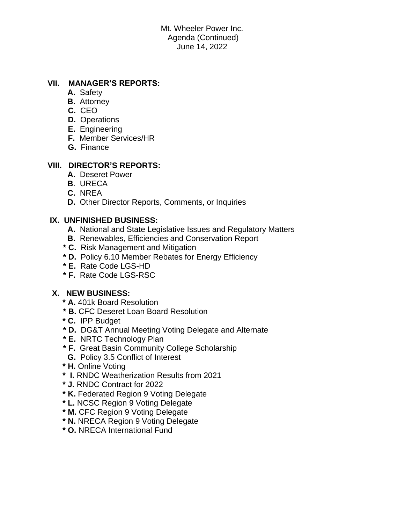Mt. Wheeler Power Inc. Agenda (Continued) June 14, 2022

## **VII. MANAGER'S REPORTS:**

- **A.** Safety
- **B.** Attorney
- **C.** CEO
- **D.** Operations
- **E.** Engineering
- **F.** Member Services/HR
- **G.** Finance

## **VIII. DIRECTOR'S REPORTS:**

- **A.** Deseret Power
- **B**. URECA
- **C.** NREA
- **D.** Other Director Reports, Comments, or Inquiries

## **IX. UNFINISHED BUSINESS:**

- **A.** National and State Legislative Issues and Regulatory Matters
- **B.** Renewables, Efficiencies and Conservation Report
- **\* C.** Risk Management and Mitigation
- **\* D.** Policy 6.10 Member Rebates for Energy Efficiency
- **\* E.** Rate Code LGS-HD
- **\* F.** Rate Code LGS-RSC

# **X. NEW BUSINESS:**

- **\* A.** 401k Board Resolution
- **\* B.** CFC Deseret Loan Board Resolution
- **\* C.** IPP Budget
- **\* D.** DG&T Annual Meeting Voting Delegate and Alternate
- **\* E.** NRTC Technology Plan
- **\* F.** Great Basin Community College Scholarship
- **G.** Policy 3.5 Conflict of Interest
- **\* H.** Online Voting
- **\* I.** RNDC Weatherization Results from 2021
- **\* J.** RNDC Contract for 2022
- **\* K.** Federated Region 9 Voting Delegate
- **\* L.** NCSC Region 9 Voting Delegate
- **\* M.** CFC Region 9 Voting Delegate
- **\* N.** NRECA Region 9 Voting Delegate
- **\* O.** NRECA International Fund